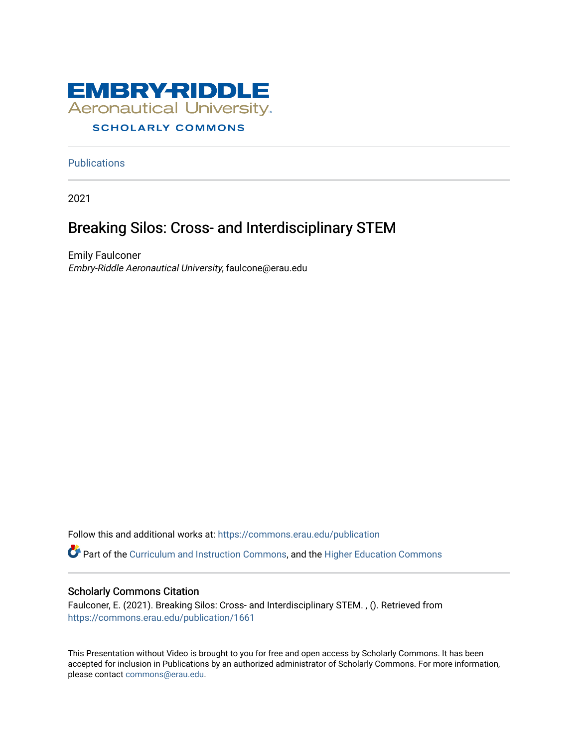

#### **SCHOLARLY COMMONS**

**Publications** 

2021

#### Breaking Silos: Cross- and Interdisciplinary STEM

Emily Faulconer Embry-Riddle Aeronautical University, faulcone@erau.edu

Follow this and additional works at: [https://commons.erau.edu/publication](https://commons.erau.edu/publication?utm_source=commons.erau.edu%2Fpublication%2F1661&utm_medium=PDF&utm_campaign=PDFCoverPages) 

Part of the [Curriculum and Instruction Commons,](http://network.bepress.com/hgg/discipline/786?utm_source=commons.erau.edu%2Fpublication%2F1661&utm_medium=PDF&utm_campaign=PDFCoverPages) and the [Higher Education Commons](http://network.bepress.com/hgg/discipline/1245?utm_source=commons.erau.edu%2Fpublication%2F1661&utm_medium=PDF&utm_campaign=PDFCoverPages) 

#### Scholarly Commons Citation

Faulconer, E. (2021). Breaking Silos: Cross- and Interdisciplinary STEM. , (). Retrieved from [https://commons.erau.edu/publication/1661](https://commons.erau.edu/publication/1661?utm_source=commons.erau.edu%2Fpublication%2F1661&utm_medium=PDF&utm_campaign=PDFCoverPages)

This Presentation without Video is brought to you for free and open access by Scholarly Commons. It has been accepted for inclusion in Publications by an authorized administrator of Scholarly Commons. For more information, please contact [commons@erau.edu](mailto:commons@erau.edu).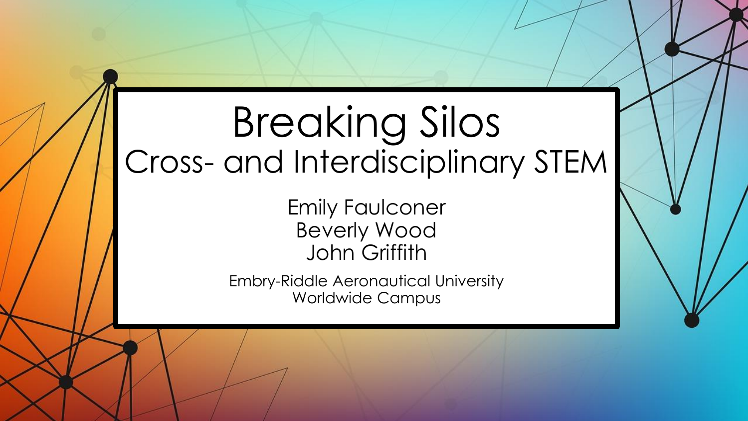# Breaking Silos Cross- and Interdisciplinary STEM

Emily Faulconer Beverly Wood John Griffith

Embry-Riddle Aeronautical University Worldwide Campus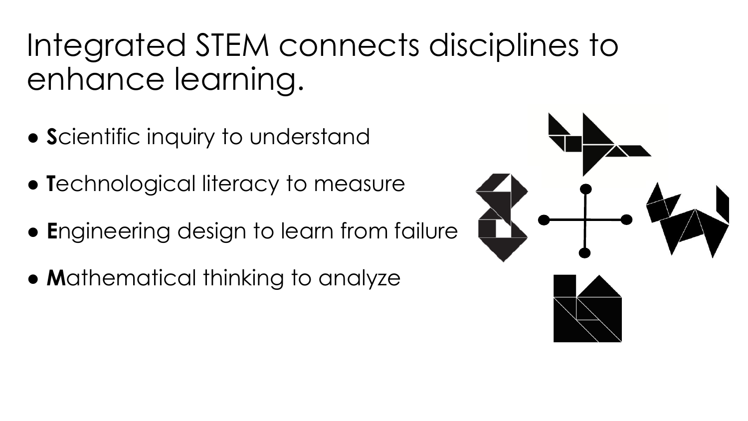Integrated STEM connects disciplines to enhance learning.

- **S**cientific inquiry to understand
- **T**echnological literacy to measure
- **E**ngineering design to learn from failure
- **M**athematical thinking to analyze

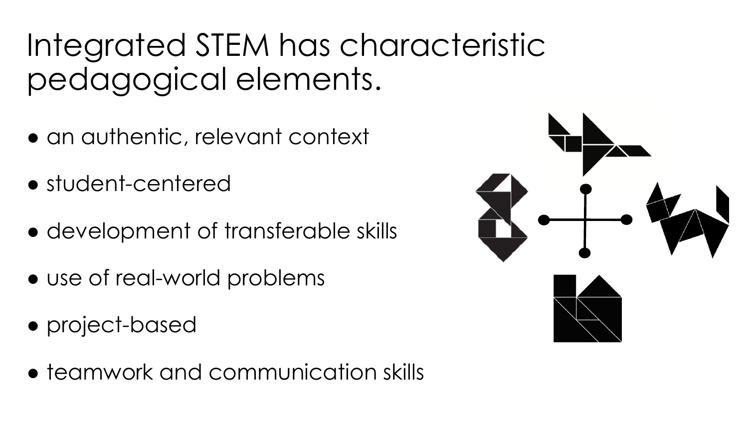# Integrated STEM has characteristic pedagogical elements.

- an authentic, relevant context
- student-centered
- development of transferable skills
- use of real-world problems
- project-based
- teamwork and communication skills

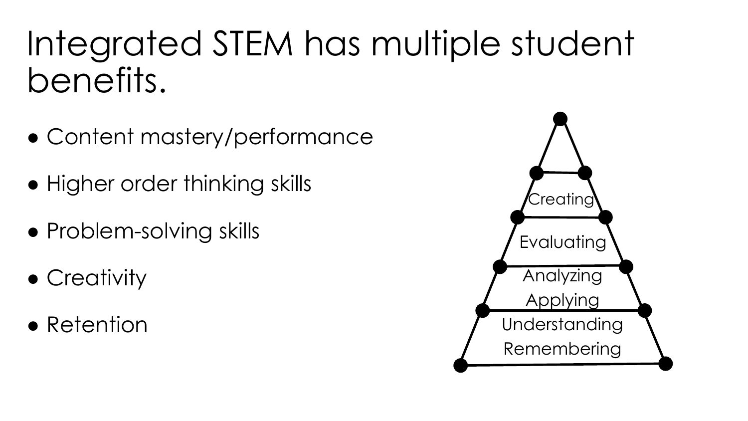# Integrated STEM has multiple student benefits.

- Content mastery/performance
- Higher order thinking skills
- Problem-solving skills
- Creativity
- Retention

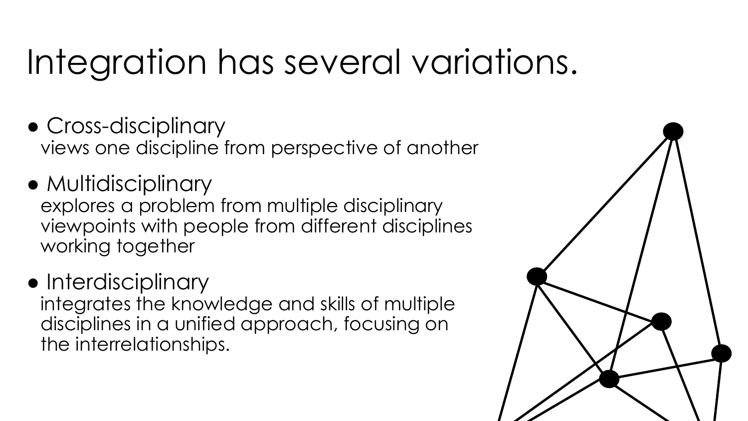# Integration has several variations.

- Cross-disciplinary views one discipline from perspective of another
- Multidisciplinary explores a problem from multiple disciplinary viewpoints with people from different disciplines working together
- Interdisciplinary

integrates the knowledge and skills of multiple disciplines in a unified approach, focusing on the interrelationships.

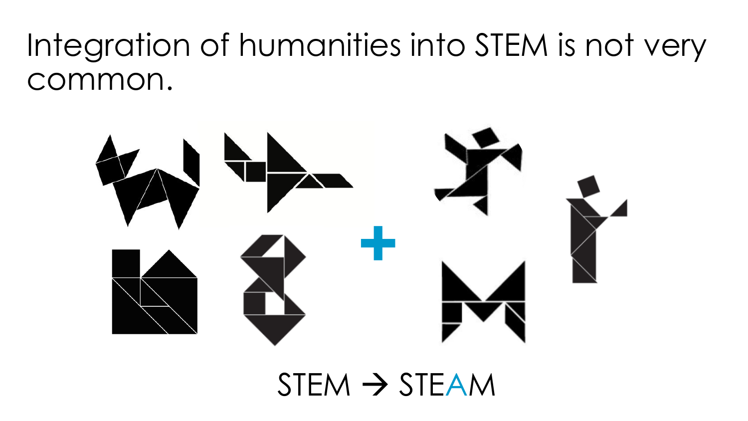## Integration of humanities into STEM is not very common.



 $STEM \rightarrow STEAM$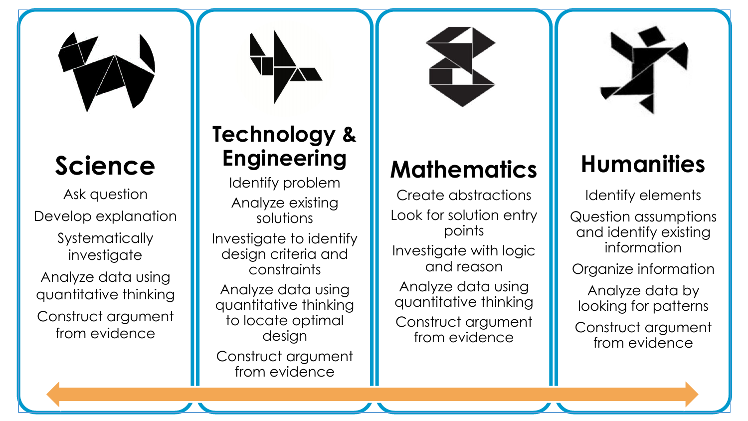

### **Science**

Ask question Develop explanation

**Systematically** investigate

Analyze data using quantitative thinking Construct argument from evidence

#### **Technology & Engineering**

Identify problem Analyze existing solutions

Investigate to identify design criteria and constraints

Analyze data using quantitative thinking to locate optimal design Construct argument

from evidence

#### **Mathematics**

Create abstractions Look for solution entry points Investigate with logic and reason Analyze data using quantitative thinking Construct argument from evidence



### **Humanities**

Identify elements

Question assumptions and identify existing information

Organize information

Analyze data by looking for patterns

Construct argument from evidence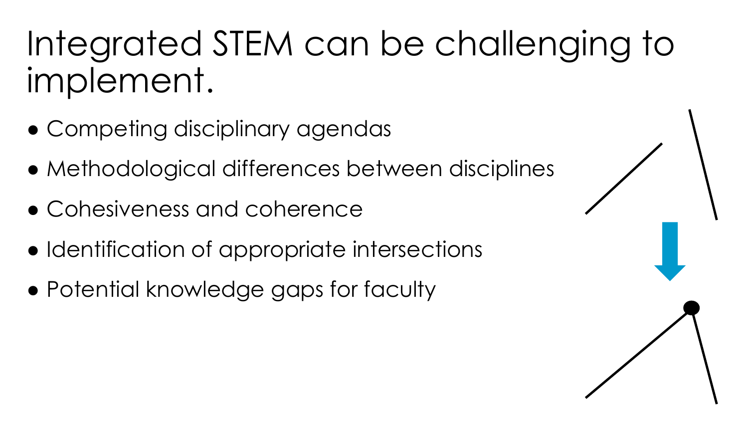# Integrated STEM can be challenging to implement.

- Competing disciplinary agendas
- Methodological differences between disciplines
- Cohesiveness and coherence
- Identification of appropriate intersections
- Potential knowledge gaps for faculty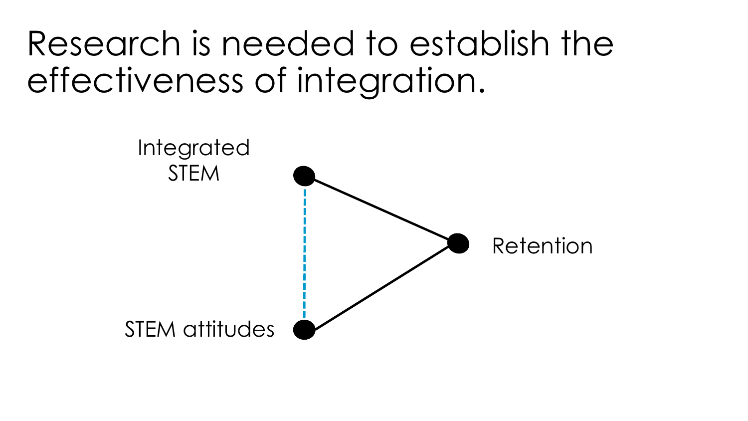# Research is needed to establish the effectiveness of integration.

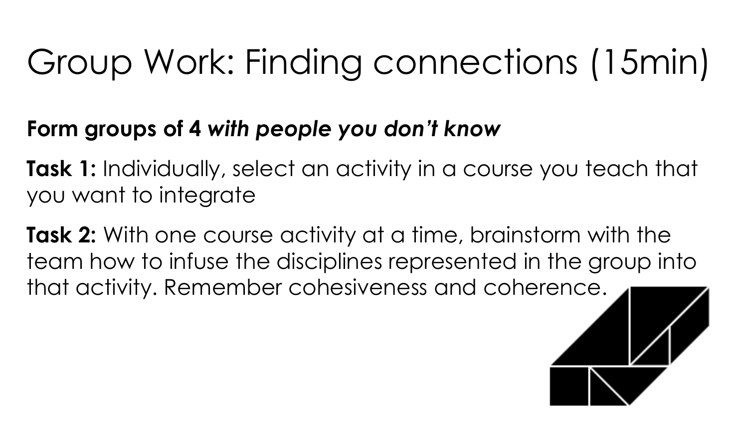# Group Work: Finding connections (15min)

#### **Form groups of 4** *with people you don't know*

**Task 1:** Individually, select an activity in a course you teach that you want to integrate

**Task 2:** With one course activity at a time, brainstorm with the team how to infuse the disciplines represented in the group into that activity. Remember cohesiveness and coherence.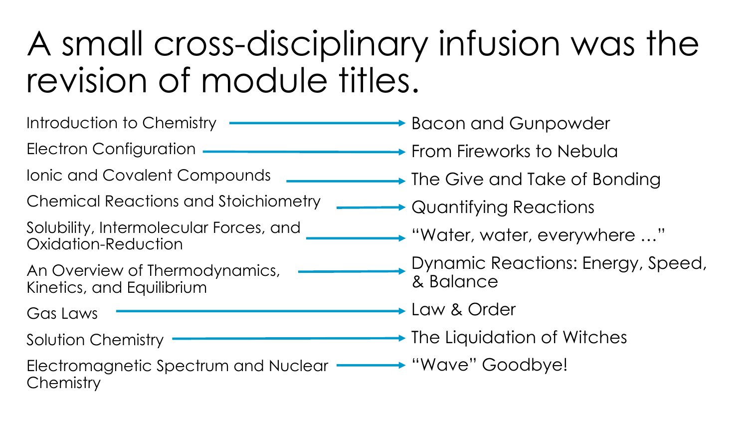# A small cross-disciplinary infusion was the revision of module titles.

Introduction to Chemistry Electron Configuration Ionic and Covalent Compounds Chemical Reactions and Stoichiometry Solubility, Intermolecular Forces, and Oxidation-Reduction An Overview of Thermodynamics, Kinetics, and Equilibrium Gas Laws Solution Chemistry Electromagnetic Spectrum and Nuclear "Wave" Goodbye! **Chemistry → Bacon and Gunpowder From Fireworks to Nebula**  $\rightarrow$  The Give and Take of Bonding  $\rightarrow$  Quantifying Reactions "Water, water, everywhere …" Dynamic Reactions: Energy, Speed, & Balance **► Law & Order**  $\rightarrow$  The Liquidation of Witches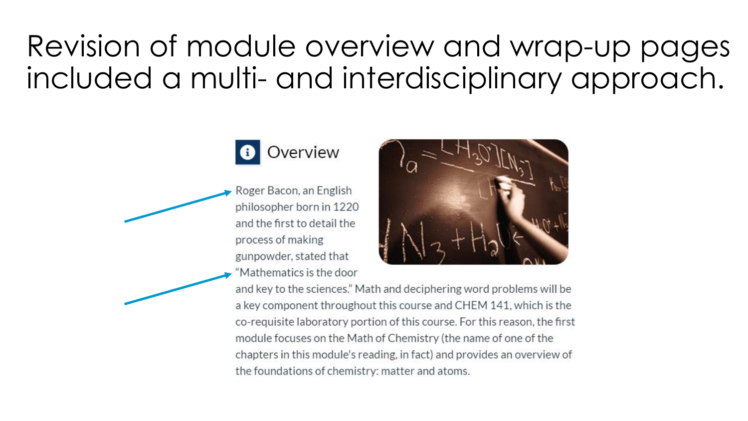## Revision of module overview and wrap-up pages included a multi- and interdisciplinary approach.



Roger Bacon, an English philosopher born in 1220 and the first to detail the process of making gunpowder, stated that "Mathematics is the door



and key to the sciences." Math and deciphering word problems will be a key component throughout this course and CHEM 141, which is the co-requisite laboratory portion of this course. For this reason, the first module focuses on the Math of Chemistry (the name of one of the chapters in this module's reading, in fact) and provides an overview of the foundations of chemistry: matter and atoms.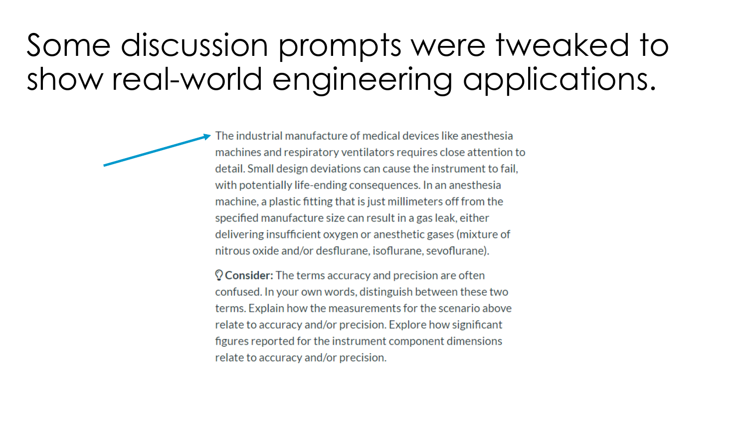## Some discussion prompts were tweaked to show real-world engineering applications.

The industrial manufacture of medical devices like anesthesia machines and respiratory ventilators requires close attention to detail. Small design deviations can cause the instrument to fail, with potentially life-ending consequences. In an anesthesia machine, a plastic fitting that is just millimeters off from the specified manufacture size can result in a gas leak, either delivering insufficient oxygen or anesthetic gases (mixture of nitrous oxide and/or desflurane, isoflurane, sevoflurane).

 $\mathbb Q$  Consider: The terms accuracy and precision are often confused. In your own words, distinguish between these two terms. Explain how the measurements for the scenario above relate to accuracy and/or precision. Explore how significant figures reported for the instrument component dimensions relate to accuracy and/or precision.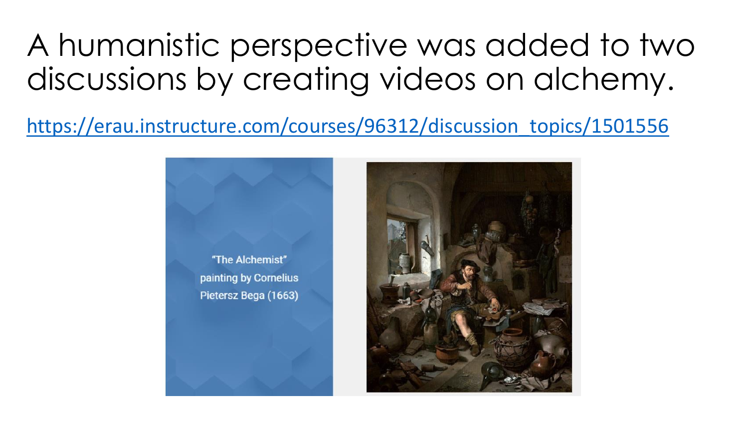A humanistic perspective was added to two discussions by creating videos on alchemy.

[https://erau.instructure.com/courses/96312/discussion\\_topics/1501556](https://erau.instructure.com/courses/96312/discussion_topics/1501556)

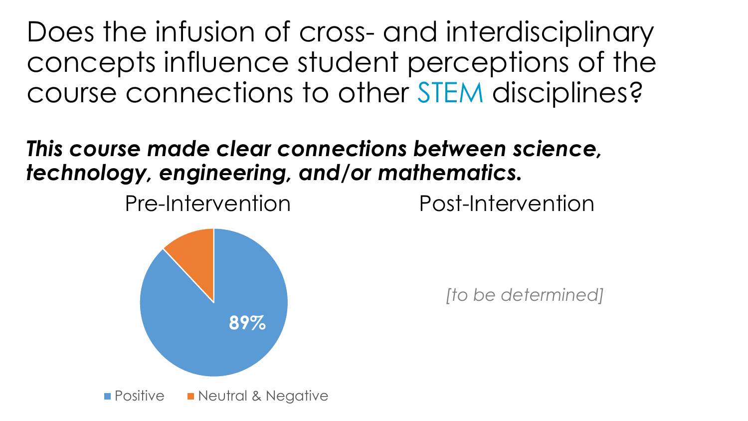Does the infusion of cross- and interdisciplinary concepts influence student perceptions of the course connections to other STEM disciplines?

#### *This course made clear connections between science, technology, engineering, and/or mathematics.*

Pre-Intervention Post-Intervention

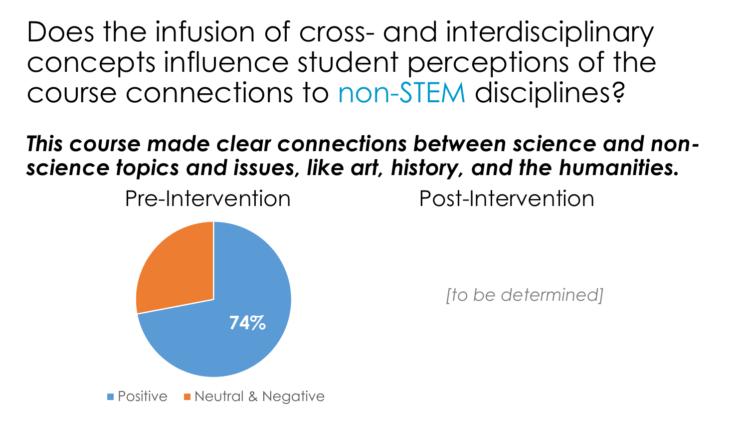Does the infusion of cross- and interdisciplinary concepts influence student perceptions of the course connections to non-STEM disciplines?

*This course made clear connections between science and nonscience topics and issues, like art, history, and the humanities.* 

Pre-Intervention Post-Intervention

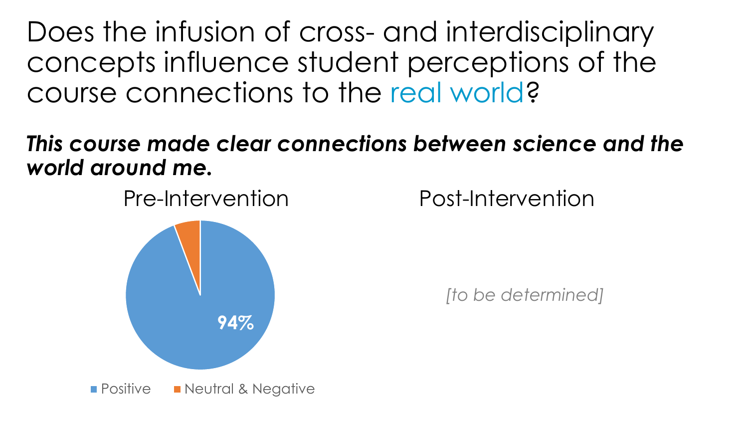Does the infusion of cross- and interdisciplinary concepts influence student perceptions of the course connections to the real world?

*This course made clear connections between science and the world around me.* 

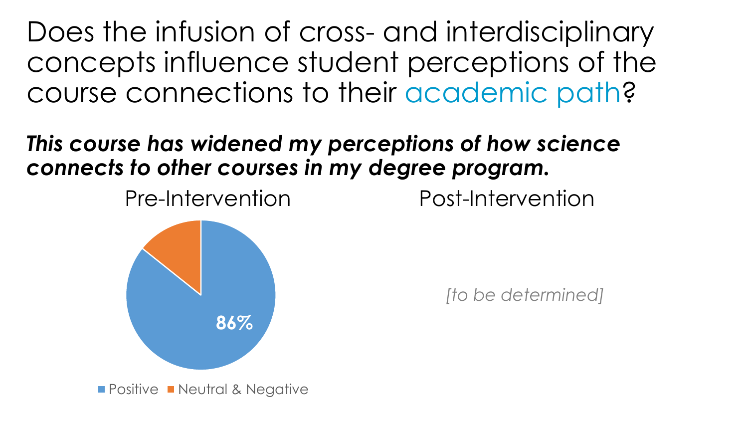Does the infusion of cross- and interdisciplinary concepts influence student perceptions of the course connections to their academic path?

*This course has widened my perceptions of how science connects to other courses in my degree program.*

Pre-Intervention Post-Intervention

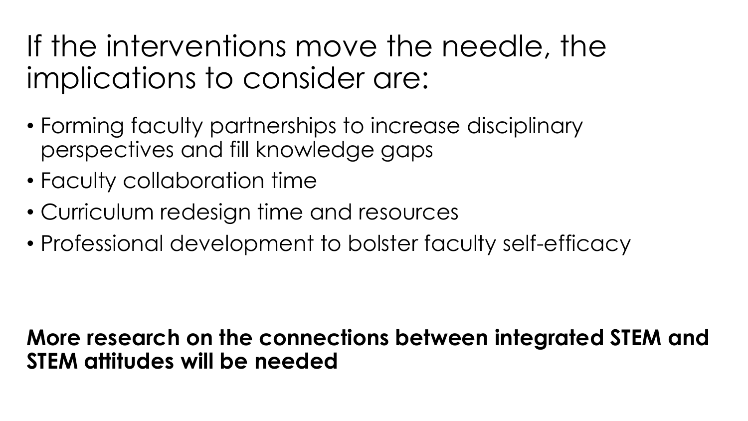## If the interventions move the needle, the implications to consider are:

- Forming faculty partnerships to increase disciplinary perspectives and fill knowledge gaps
- Faculty collaboration time
- Curriculum redesign time and resources
- Professional development to bolster faculty self-efficacy

#### **More research on the connections between integrated STEM and STEM attitudes will be needed**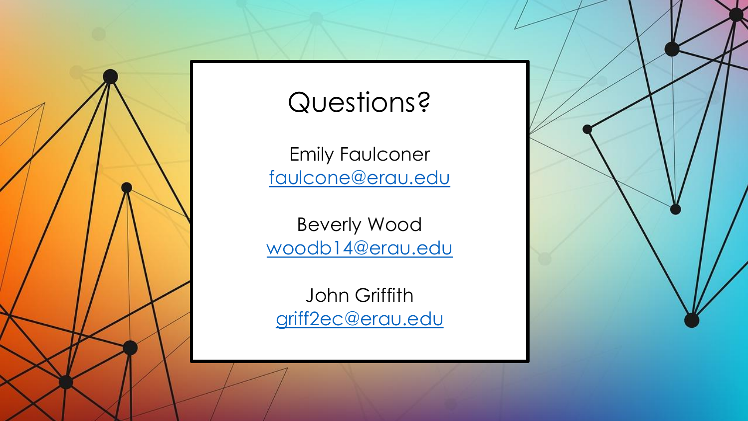

### Questions?

Emily Faulconer [faulcone@erau.edu](mailto:faulcone@erau.edu)

Beverly Wood [woodb14@erau.edu](mailto:woodb14@erau.edu)

John Griffith [griff2ec@erau.edu](mailto:griff2ec@erau.edu)